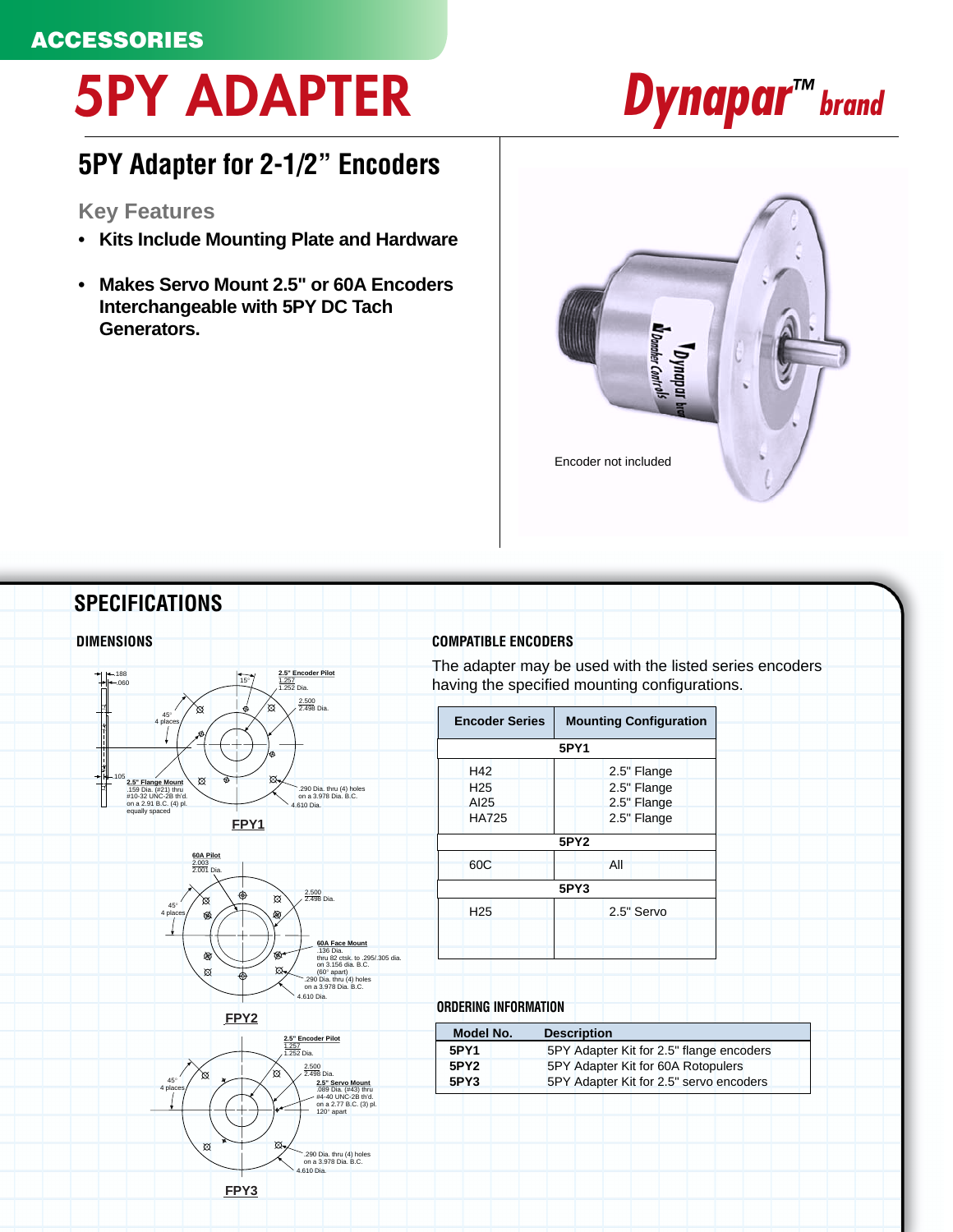## **5PY ADAPTER**

## **5PY Adapter for 2-1/2" Encoders**

## **Key Features**

- **Kits Include Mounting Plate and Hardware**
- **Makes Servo Mount 2.5" or 60A Encoders Interchangeable with 5PY DC Tach Generators.**





*Dynapar<sup>™</sup> brand*